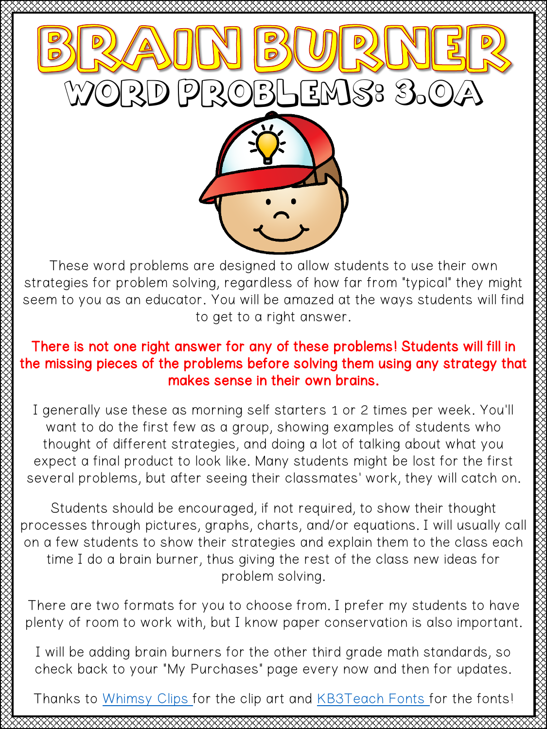

These word problems are designed to allow students to use their own strategies for problem solving, regardless of how far from "typical" they might seem to you as an educator. You will be amazed at the ways students will find to get to a right answer.

## There is not one right answer for any of these problems! Students will fill in the missing pieces of the problems before solving them using any strategy that makes sense in their own brains.

I generally use these as morning self starters 1 or 2 times per week. You'll want to do the first few as a group, showing examples of students who thought of different strategies, and doing a lot of talking about what you expect a final product to look like. Many students might be lost for the first several problems, but after seeing their classmates' work, they will catch on.

Students should be encouraged, if not required, to show their thought processes through pictures, graphs, charts, and/or equations. I will usually call on a few students to show their strategies and explain them to the class each time I do a brain burner, thus giving the rest of the class new ideas for problem solving.

There are two formats for you to choose from. I prefer my students to have plenty of room to work with, but I know paper conservation is also important.

I will be adding brain burners for the other third grade math standards, so check back to your "My Purchases" page every now and then for updates.

Thanks to [Whimsy Clips f](https://www.teacherspayteachers.com/Store/Whimsy-Clips)or the clip art and [KB3Teach Fonts](https://www.teacherspayteachers.com/Store/Kb3teach) for the fonts!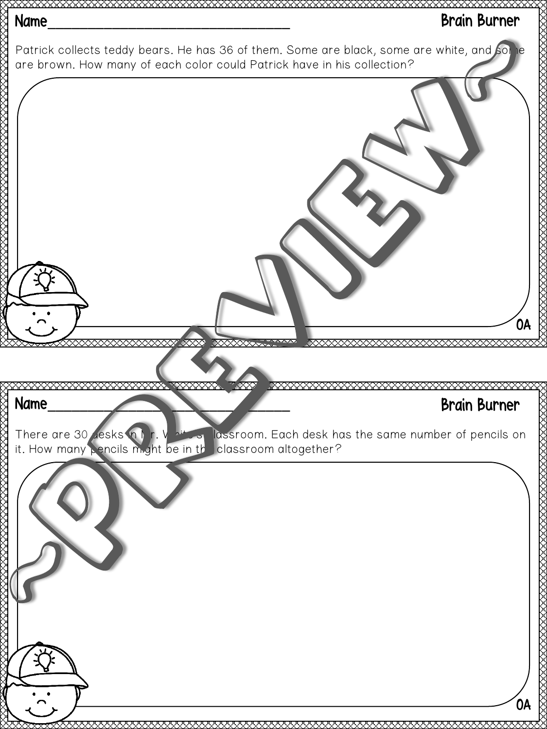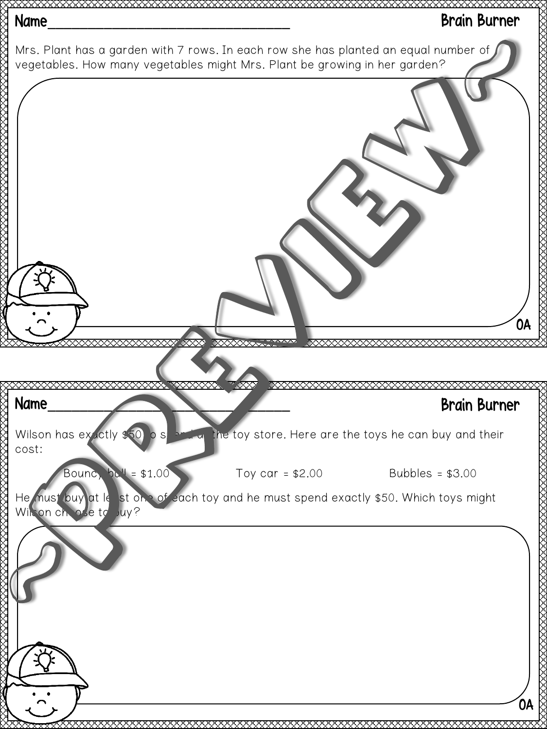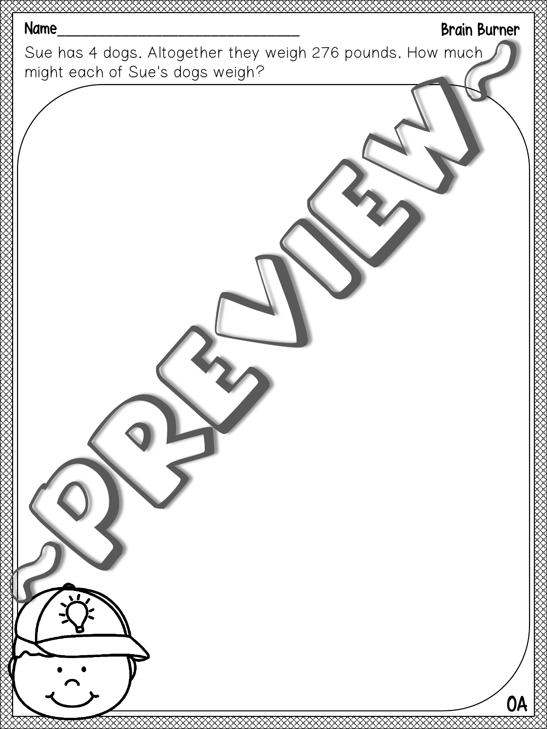